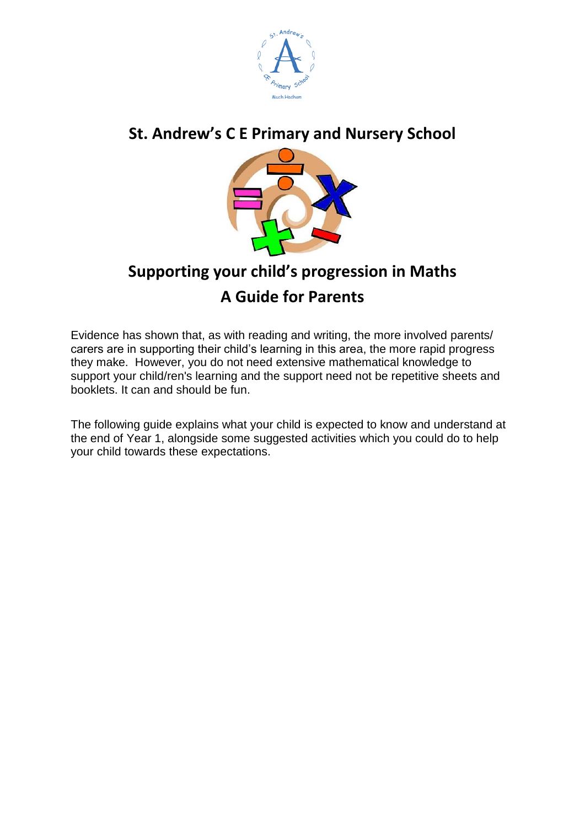

## **St. Andrew's C E Primary and Nursery School**



# **Supporting your child's progression in Maths A Guide for Parents**

Evidence has shown that, as with reading and writing, the more involved parents/ carers are in supporting their child's learning in this area, the more rapid progress they make. However, you do not need extensive mathematical knowledge to support your child/ren's learning and the support need not be repetitive sheets and booklets. It can and should be fun.

The following guide explains what your child is expected to know and understand at the end of Year 1, alongside some suggested activities which you could do to help your child towards these expectations.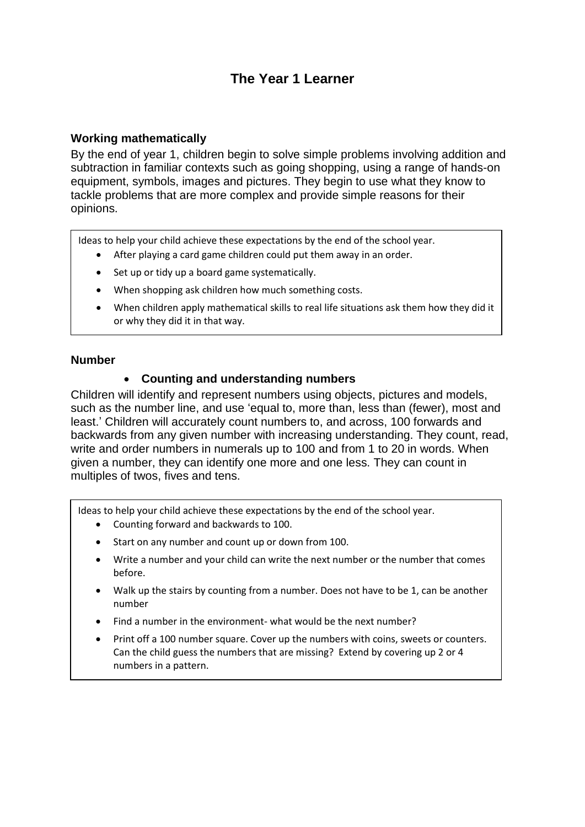## **The Year 1 Learner**

#### **Working mathematically**

By the end of year 1, children begin to solve simple problems involving addition and subtraction in familiar contexts such as going shopping, using a range of hands-on equipment, symbols, images and pictures. They begin to use what they know to tackle problems that are more complex and provide simple reasons for their opinions.

Ideas to help your child achieve these expectations by the end of the school year.

- After playing a card game children could put them away in an order.
- Set up or tidy up a board game systematically.
- When shopping ask children how much something costs.
- When children apply mathematical skills to real life situations ask them how they did it or why they did it in that way.

#### **Number**

### **Counting and understanding numbers**

Children will identify and represent numbers using objects, pictures and models, such as the number line, and use 'equal to, more than, less than (fewer), most and least.' Children will accurately count numbers to, and across, 100 forwards and backwards from any given number with increasing understanding. They count, read, write and order numbers in numerals up to 100 and from 1 to 20 in words. When given a number, they can identify one more and one less. They can count in multiples of twos, fives and tens.

Ideas to help your child achieve these expectations by the end of the school year.

- Counting forward and backwards to 100.
- Start on any number and count up or down from 100.
- Write a number and your child can write the next number or the number that comes before.
- Walk up the stairs by counting from a number. Does not have to be 1, can be another number
- Find a number in the environment- what would be the next number?
- Print off a 100 number square. Cover up the numbers with coins, sweets or counters. Can the child guess the numbers that are missing? Extend by covering up 2 or 4 numbers in a pattern.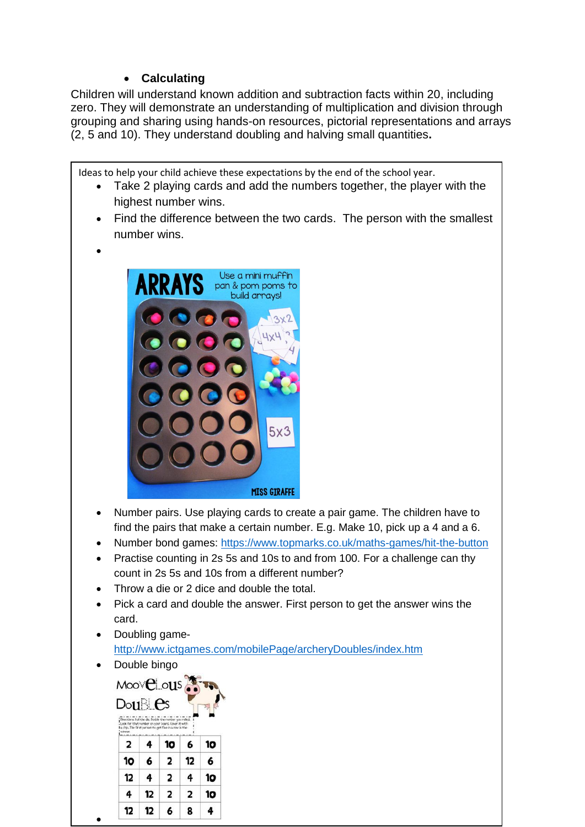## **Calculating**

Children will understand known addition and subtraction facts within 20, including zero. They will demonstrate an understanding of multiplication and division through grouping and sharing using hands-on resources, pictorial representations and arrays (2, 5 and 10). They understand doubling and halving small quantities**.**

Ideas to help your child achieve these expectations by the end of the school year.

- Take 2 playing cards and add the numbers together, the player with the highest number wins.
- Find the difference between the two cards. The person with the smallest number wins.
- $\bullet$



- Number pairs. Use playing cards to create a pair game. The children have to find the pairs that make a certain number. E.g. Make 10, pick up a 4 and a 6.
- Number bond games:<https://www.topmarks.co.uk/maths-games/hit-the-button>
- Practise counting in 2s 5s and 10s to and from 100. For a challenge can thy count in 2s 5s and 10s from a different number?
- Throw a die or 2 dice and double the total.
- Pick a card and double the answer. First person to get the answer wins the card.
- Doubling game<http://www.ictgames.com/mobilePage/archeryDoubles/index.htm>
- Double bingo

 $\bullet$ 

Moovel ous  $Do1 \mathbb{N}$   $Es$  $\overline{\mathbf{2}}$ 4  $10$ 10 6  $\overline{\mathbf{2}}$ 6  $10<sub>o</sub>$ 6  $12$  $\overline{\mathbf{2}}$  $12$ 4 4 10 4  $12$  $\overline{2}$  $\overline{2}$  $10<sub>o</sub>$  $12$  $12$ 6 8 4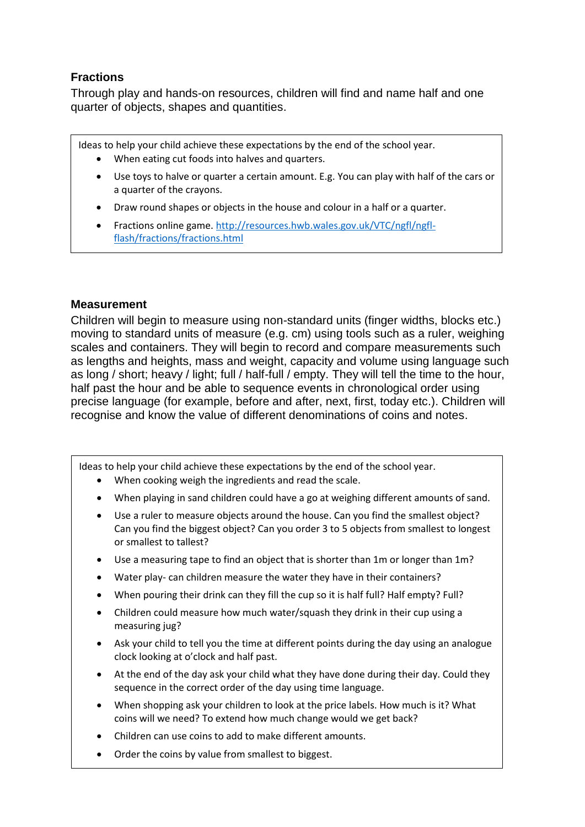## **Fractions**

Through play and hands-on resources, children will find and name half and one quarter of objects, shapes and quantities.

Ideas to help your child achieve these expectations by the end of the school year.

- When eating cut foods into halves and quarters.
- Use toys to halve or quarter a certain amount. E.g. You can play with half of the cars or a quarter of the crayons.
- Draw round shapes or objects in the house and colour in a half or a quarter.
- Fractions online game[. http://resources.hwb.wales.gov.uk/VTC/ngfl/ngfl](http://resources.hwb.wales.gov.uk/VTC/ngfl/ngfl-flash/fractions/fractions.html)[flash/fractions/fractions.html](http://resources.hwb.wales.gov.uk/VTC/ngfl/ngfl-flash/fractions/fractions.html)

### **Measurement**

Children will begin to measure using non-standard units (finger widths, blocks etc.) moving to standard units of measure (e.g. cm) using tools such as a ruler, weighing scales and containers. They will begin to record and compare measurements such as lengths and heights, mass and weight, capacity and volume using language such as long / short; heavy / light; full / half-full / empty. They will tell the time to the hour, half past the hour and be able to sequence events in chronological order using precise language (for example, before and after, next, first, today etc.). Children will recognise and know the value of different denominations of coins and notes.

Ideas to help your child achieve these expectations by the end of the school year.

- When cooking weigh the ingredients and read the scale.
- When playing in sand children could have a go at weighing different amounts of sand.
- Use a ruler to measure objects around the house. Can you find the smallest object? Can you find the biggest object? Can you order 3 to 5 objects from smallest to longest or smallest to tallest?
- Use a measuring tape to find an object that is shorter than 1m or longer than 1m?
- Water play- can children measure the water they have in their containers?
- When pouring their drink can they fill the cup so it is half full? Half empty? Full?
- Children could measure how much water/squash they drink in their cup using a measuring jug?
- Ask your child to tell you the time at different points during the day using an analogue clock looking at o'clock and half past.
- At the end of the day ask your child what they have done during their day. Could they sequence in the correct order of the day using time language.
- When shopping ask your children to look at the price labels. How much is it? What coins will we need? To extend how much change would we get back?
- Children can use coins to add to make different amounts.
- Order the coins by value from smallest to biggest.